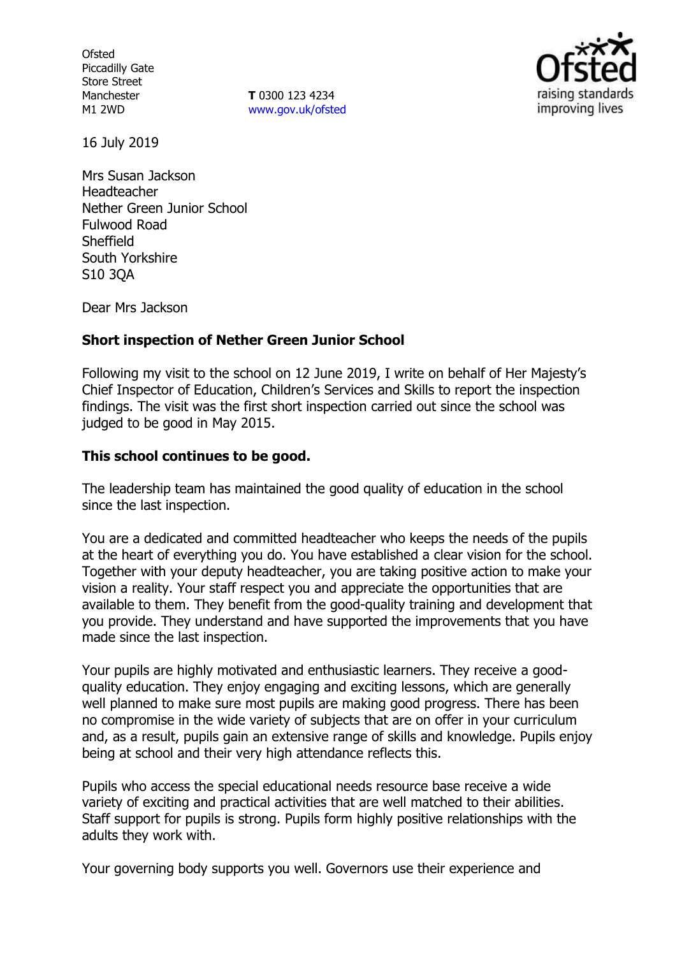**Ofsted** Piccadilly Gate Store Street Manchester M1 2WD

**T** 0300 123 4234 www.gov.uk/ofsted



16 July 2019

Mrs Susan Jackson Headteacher Nether Green Junior School Fulwood Road **Sheffield** South Yorkshire S10 3QA

Dear Mrs Jackson

### **Short inspection of Nether Green Junior School**

Following my visit to the school on 12 June 2019, I write on behalf of Her Majesty's Chief Inspector of Education, Children's Services and Skills to report the inspection findings. The visit was the first short inspection carried out since the school was judged to be good in May 2015.

### **This school continues to be good.**

The leadership team has maintained the good quality of education in the school since the last inspection.

You are a dedicated and committed headteacher who keeps the needs of the pupils at the heart of everything you do. You have established a clear vision for the school. Together with your deputy headteacher, you are taking positive action to make your vision a reality. Your staff respect you and appreciate the opportunities that are available to them. They benefit from the good-quality training and development that you provide. They understand and have supported the improvements that you have made since the last inspection.

Your pupils are highly motivated and enthusiastic learners. They receive a goodquality education. They enjoy engaging and exciting lessons, which are generally well planned to make sure most pupils are making good progress. There has been no compromise in the wide variety of subjects that are on offer in your curriculum and, as a result, pupils gain an extensive range of skills and knowledge. Pupils enjoy being at school and their very high attendance reflects this.

Pupils who access the special educational needs resource base receive a wide variety of exciting and practical activities that are well matched to their abilities. Staff support for pupils is strong. Pupils form highly positive relationships with the adults they work with.

Your governing body supports you well. Governors use their experience and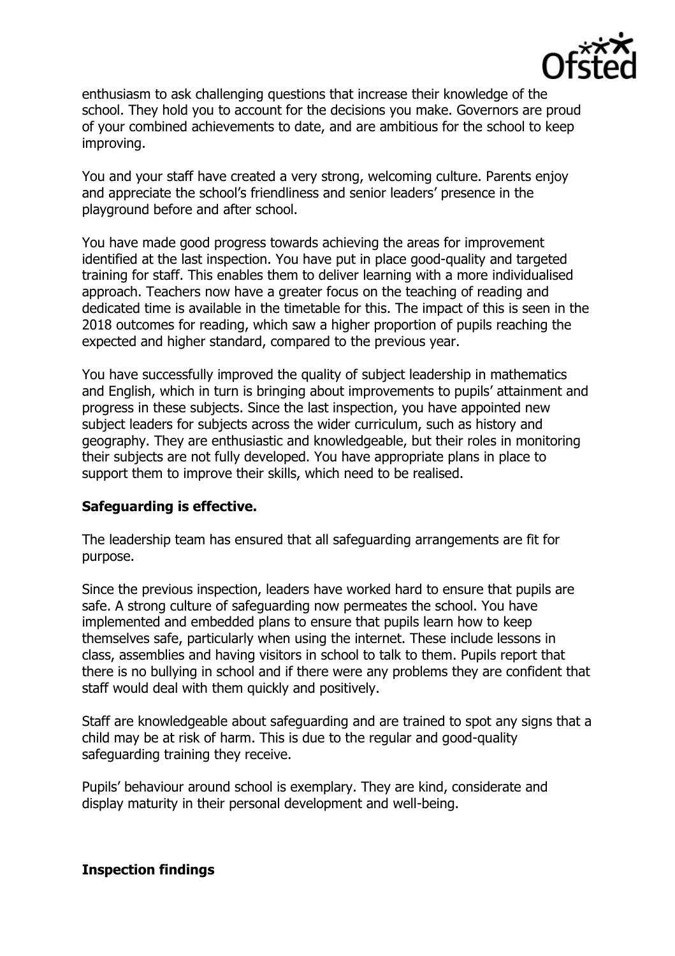

enthusiasm to ask challenging questions that increase their knowledge of the school. They hold you to account for the decisions you make. Governors are proud of your combined achievements to date, and are ambitious for the school to keep improving.

You and your staff have created a very strong, welcoming culture. Parents enjoy and appreciate the school's friendliness and senior leaders' presence in the playground before and after school.

You have made good progress towards achieving the areas for improvement identified at the last inspection. You have put in place good-quality and targeted training for staff. This enables them to deliver learning with a more individualised approach. Teachers now have a greater focus on the teaching of reading and dedicated time is available in the timetable for this. The impact of this is seen in the 2018 outcomes for reading, which saw a higher proportion of pupils reaching the expected and higher standard, compared to the previous year.

You have successfully improved the quality of subject leadership in mathematics and English, which in turn is bringing about improvements to pupils' attainment and progress in these subjects. Since the last inspection, you have appointed new subject leaders for subjects across the wider curriculum, such as history and geography. They are enthusiastic and knowledgeable, but their roles in monitoring their subjects are not fully developed. You have appropriate plans in place to support them to improve their skills, which need to be realised.

## **Safeguarding is effective.**

The leadership team has ensured that all safeguarding arrangements are fit for purpose.

Since the previous inspection, leaders have worked hard to ensure that pupils are safe. A strong culture of safeguarding now permeates the school. You have implemented and embedded plans to ensure that pupils learn how to keep themselves safe, particularly when using the internet. These include lessons in class, assemblies and having visitors in school to talk to them. Pupils report that there is no bullying in school and if there were any problems they are confident that staff would deal with them quickly and positively.

Staff are knowledgeable about safeguarding and are trained to spot any signs that a child may be at risk of harm. This is due to the regular and good-quality safeguarding training they receive.

Pupils' behaviour around school is exemplary. They are kind, considerate and display maturity in their personal development and well-being.

## **Inspection findings**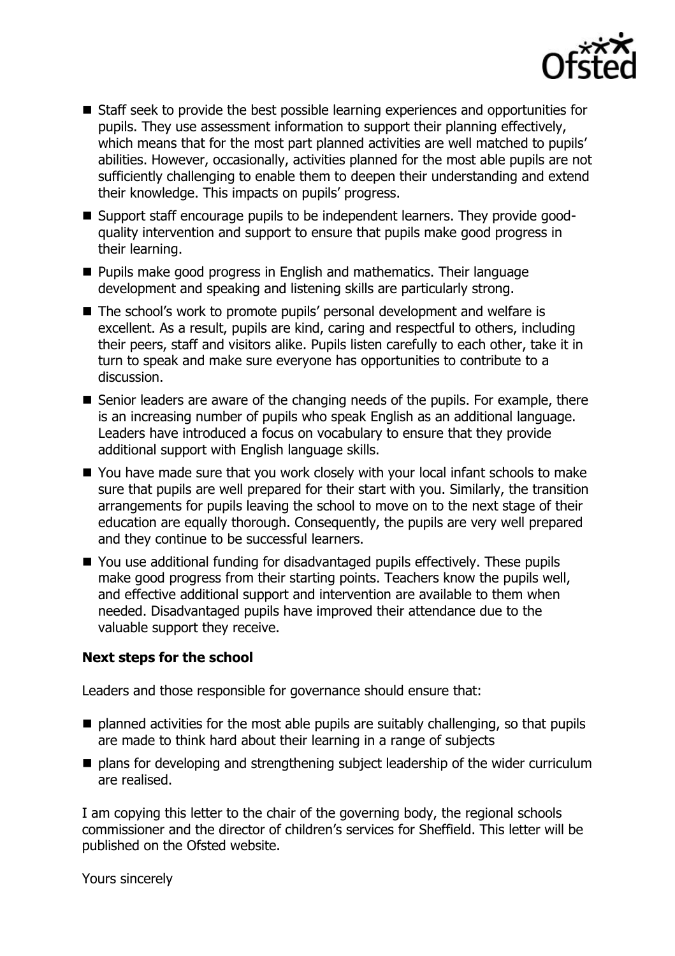

- Staff seek to provide the best possible learning experiences and opportunities for pupils. They use assessment information to support their planning effectively, which means that for the most part planned activities are well matched to pupils' abilities. However, occasionally, activities planned for the most able pupils are not sufficiently challenging to enable them to deepen their understanding and extend their knowledge. This impacts on pupils' progress.
- Support staff encourage pupils to be independent learners. They provide goodquality intervention and support to ensure that pupils make good progress in their learning.
- **Pupils make good progress in English and mathematics. Their language** development and speaking and listening skills are particularly strong.
- The school's work to promote pupils' personal development and welfare is excellent. As a result, pupils are kind, caring and respectful to others, including their peers, staff and visitors alike. Pupils listen carefully to each other, take it in turn to speak and make sure everyone has opportunities to contribute to a discussion.
- Senior leaders are aware of the changing needs of the pupils. For example, there is an increasing number of pupils who speak English as an additional language. Leaders have introduced a focus on vocabulary to ensure that they provide additional support with English language skills.
- You have made sure that you work closely with your local infant schools to make sure that pupils are well prepared for their start with you. Similarly, the transition arrangements for pupils leaving the school to move on to the next stage of their education are equally thorough. Consequently, the pupils are very well prepared and they continue to be successful learners.
- You use additional funding for disadvantaged pupils effectively. These pupils make good progress from their starting points. Teachers know the pupils well, and effective additional support and intervention are available to them when needed. Disadvantaged pupils have improved their attendance due to the valuable support they receive.

## **Next steps for the school**

Leaders and those responsible for governance should ensure that:

- $\blacksquare$  planned activities for the most able pupils are suitably challenging, so that pupils are made to think hard about their learning in a range of subjects
- $\blacksquare$  plans for developing and strengthening subject leadership of the wider curriculum are realised.

I am copying this letter to the chair of the governing body, the regional schools commissioner and the director of children's services for Sheffield. This letter will be published on the Ofsted website.

Yours sincerely